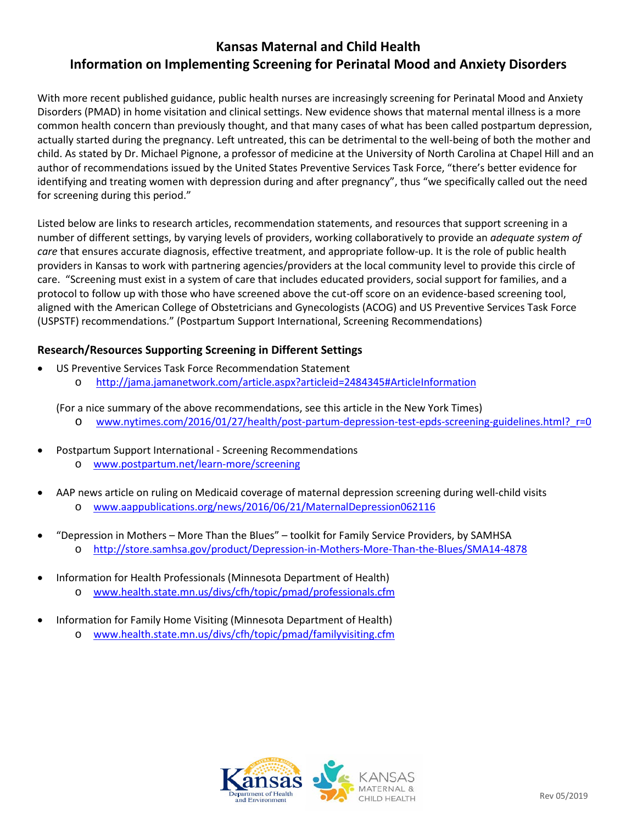# **Kansas Maternal and Child Health Information on Implementing Screening for Perinatal Mood and Anxiety Disorders**

With more recent published guidance, public health nurses are increasingly screening for Perinatal Mood and Anxiety Disorders (PMAD) in home visitation and clinical settings. New evidence shows that maternal mental illness is a more common health concern than previously thought, and that many cases of what has been called postpartum depression, actually started during the pregnancy. Left untreated, this can be detrimental to the well-being of both the mother and child. As stated by Dr. Michael Pignone, a professor of medicine at the University of North Carolina at Chapel Hill and an author of recommendations issued by the United States Preventive Services Task Force, "there's better evidence for identifying and treating women with depression during and after pregnancy", thus "we specifically called out the need for screening during this period."

Listed below are links to research articles, recommendation statements, and resources that support screening in a number of different settings, by varying levels of providers, working collaboratively to provide an *adequate system of care* that ensures accurate diagnosis, effective treatment, and appropriate follow-up. It is the role of public health providers in Kansas to work with partnering agencies/providers at the local community level to provide this circle of care. "Screening must exist in a system of care that includes educated providers, social support for families, and a protocol to follow up with those who have screened above the cut-off score on an evidence-based screening tool, aligned with the American College of Obstetricians and Gynecologists (ACOG) and US Preventive Services Task Force (USPSTF) recommendations." (Postpartum Support International, Screening Recommendations)

## **Research/Resources Supporting Screening in Different Settings**

- US Preventive Services Task Force Recommendation Statement
	- o <http://jama.jamanetwork.com/article.aspx?articleid=2484345#ArticleInformation>

(For a nice summary of the above recommendations, see this article in the New York Times)

- o [www.nytimes.com/2016/01/27/health/post-partum-depression-test-epds-screening-guidelines.html?\\_r=0](http://www.nytimes.com/2016/01/27/health/post-partum-depression-test-epds-screening-guidelines.html?_r=0)
- Postpartum Support International Screening Recommendations
	- o [www.postpartum.net/learn-more/screening](http://www.postpartum.net/learn-more/screening/)
- AAP news article on ruling on Medicaid coverage of maternal depression screening during well-child visits o [www.aappublications.org/news/2016/06/21/MaternalDepression062116](http://www.aappublications.org/news/2016/06/21/MaternalDepression062116)
- "Depression in Mothers More Than the Blues" toolkit for Family Service Providers, by SAMHSA o <http://store.samhsa.gov/product/Depression-in-Mothers-More-Than-the-Blues/SMA14-4878>
- Information for Health Professionals (Minnesota Department of Health)
	- o [www.health.state.mn.us/divs/cfh/topic/pmad/professionals.cfm](http://www.health.state.mn.us/divs/cfh/topic/pmad/professionals.cfm)
- Information for Family Home Visiting (Minnesota Department of Health)
	- [www.health.state.mn.us/divs/cfh/topic/pmad/familyvisiting.cfm](http://www.health.state.mn.us/divs/cfh/topic/pmad/familyvisiting.cfm)

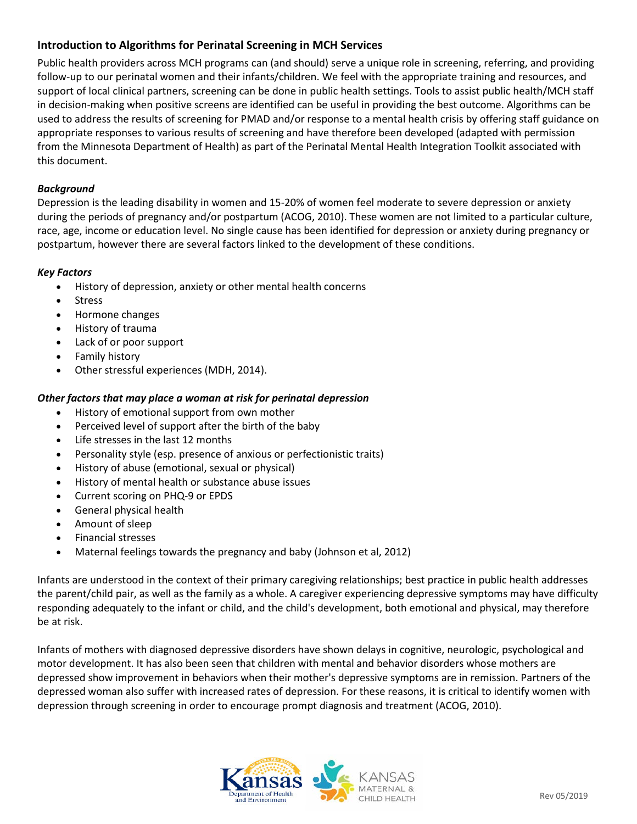# **Introduction to Algorithms for Perinatal Screening in MCH Services**

Public health providers across MCH programs can (and should) serve a unique role in screening, referring, and providing follow-up to our perinatal women and their infants/children. We feel with the appropriate training and resources, and support of local clinical partners, screening can be done in public health settings. Tools to assist public health/MCH staff in decision-making when positive screens are identified can be useful in providing the best outcome. Algorithms can be used to address the results of screening for PMAD and/or response to a mental health crisis by offering staff guidance on appropriate responses to various results of screening and have therefore been developed (adapted with permission from the Minnesota Department of Health) as part of the Perinatal Mental Health Integration Toolkit associated with this document.

## *Background*

Depression is the leading disability in women and 15-20% of women feel moderate to severe depression or anxiety during the periods of pregnancy and/or postpartum (ACOG, 2010). These women are not limited to a particular culture, race, age, income or education level. No single cause has been identified for depression or anxiety during pregnancy or postpartum, however there are several factors linked to the development of these conditions.

## *Key Factors*

- History of depression, anxiety or other mental health concerns
- Stress
- Hormone changes
- History of trauma
- Lack of or poor support
- Family history
- Other stressful experiences (MDH, 2014).

## *Other factors that may place a woman at risk for perinatal depression*

- History of emotional support from own mother
- Perceived level of support after the birth of the baby
- Life stresses in the last 12 months
- Personality style (esp. presence of anxious or perfectionistic traits)
- History of abuse (emotional, sexual or physical)
- History of mental health or substance abuse issues
- Current scoring on PHQ-9 or EPDS
- General physical health
- Amount of sleep
- Financial stresses
- Maternal feelings towards the pregnancy and baby (Johnson et al, 2012)

Infants are understood in the context of their primary caregiving relationships; best practice in public health addresses the parent/child pair, as well as the family as a whole. A caregiver experiencing depressive symptoms may have difficulty responding adequately to the infant or child, and the child's development, both emotional and physical, may therefore be at risk.

Infants of mothers with diagnosed depressive disorders have shown delays in cognitive, neurologic, psychological and motor development. It has also been seen that children with mental and behavior disorders whose mothers are depressed show improvement in behaviors when their mother's depressive symptoms are in remission. Partners of the depressed woman also suffer with increased rates of depression. For these reasons, it is critical to identify women with depression through screening in order to encourage prompt diagnosis and treatment (ACOG, 2010).

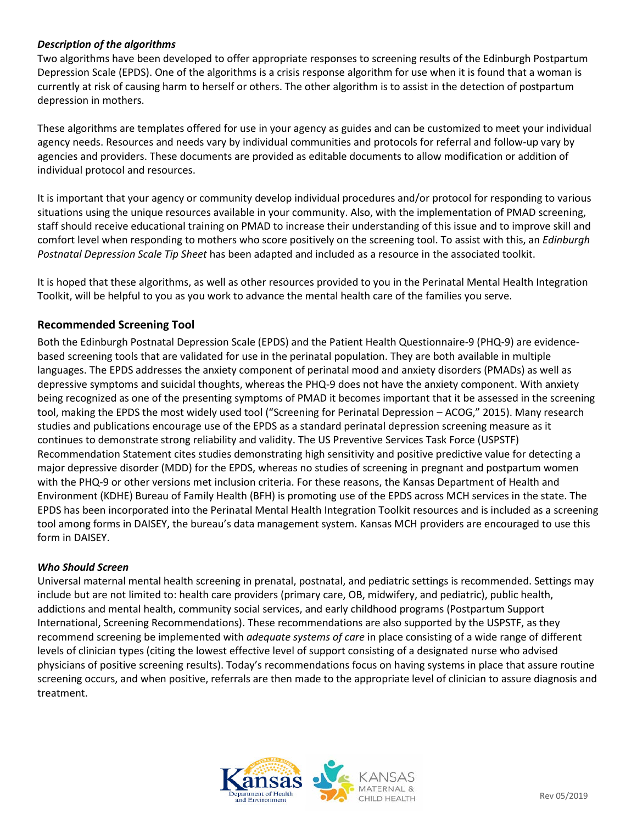## *Description of the algorithms*

Two algorithms have been developed to offer appropriate responses to screening results of the Edinburgh Postpartum Depression Scale (EPDS). One of the algorithms is a crisis response algorithm for use when it is found that a woman is currently at risk of causing harm to herself or others. The other algorithm is to assist in the detection of postpartum depression in mothers.

These algorithms are templates offered for use in your agency as guides and can be customized to meet your individual agency needs. Resources and needs vary by individual communities and protocols for referral and follow-up vary by agencies and providers. These documents are provided as editable documents to allow modification or addition of individual protocol and resources.

It is important that your agency or community develop individual procedures and/or protocol for responding to various situations using the unique resources available in your community. Also, with the implementation of PMAD screening, staff should receive educational training on PMAD to increase their understanding of this issue and to improve skill and comfort level when responding to mothers who score positively on the screening tool. To assist with this, an *Edinburgh Postnatal Depression Scale Tip Sheet* has been adapted and included as a resource in the associated toolkit.

It is hoped that these algorithms, as well as other resources provided to you in the Perinatal Mental Health Integration Toolkit, will be helpful to you as you work to advance the mental health care of the families you serve.

## **Recommended Screening Tool**

Both the Edinburgh Postnatal Depression Scale (EPDS) and the Patient Health Questionnaire-9 (PHQ-9) are evidencebased screening tools that are validated for use in the perinatal population. They are both available in multiple languages. The EPDS addresses the anxiety component of perinatal mood and anxiety disorders (PMADs) as well as depressive symptoms and suicidal thoughts, whereas the PHQ-9 does not have the anxiety component. With anxiety being recognized as one of the presenting symptoms of PMAD it becomes important that it be assessed in the screening tool, making the EPDS the most widely used tool ("Screening for Perinatal Depression – ACOG," 2015). Many research studies and publications encourage use of the EPDS as a standard perinatal depression screening measure as it continues to demonstrate strong reliability and validity. The US Preventive Services Task Force (USPSTF) Recommendation Statement cites studies demonstrating high sensitivity and positive predictive value for detecting a major depressive disorder (MDD) for the EPDS, whereas no studies of screening in pregnant and postpartum women with the PHQ-9 or other versions met inclusion criteria. For these reasons, the Kansas Department of Health and Environment (KDHE) Bureau of Family Health (BFH) is promoting use of the EPDS across MCH services in the state. The EPDS has been incorporated into the Perinatal Mental Health Integration Toolkit resources and is included as a screening tool among forms in DAISEY, the bureau's data management system. Kansas MCH providers are encouraged to use this form in DAISEY.

#### *Who Should Screen*

Universal maternal mental health screening in prenatal, postnatal, and pediatric settings is recommended. Settings may include but are not limited to: health care providers (primary care, OB, midwifery, and pediatric), public health, addictions and mental health, community social services, and early childhood programs (Postpartum Support International, Screening Recommendations). These recommendations are also supported by the USPSTF, as they recommend screening be implemented with *adequate systems of care* in place consisting of a wide range of different levels of clinician types (citing the lowest effective level of support consisting of a designated nurse who advised physicians of positive screening results). Today's recommendations focus on having systems in place that assure routine screening occurs, and when positive, referrals are then made to the appropriate level of clinician to assure diagnosis and treatment.

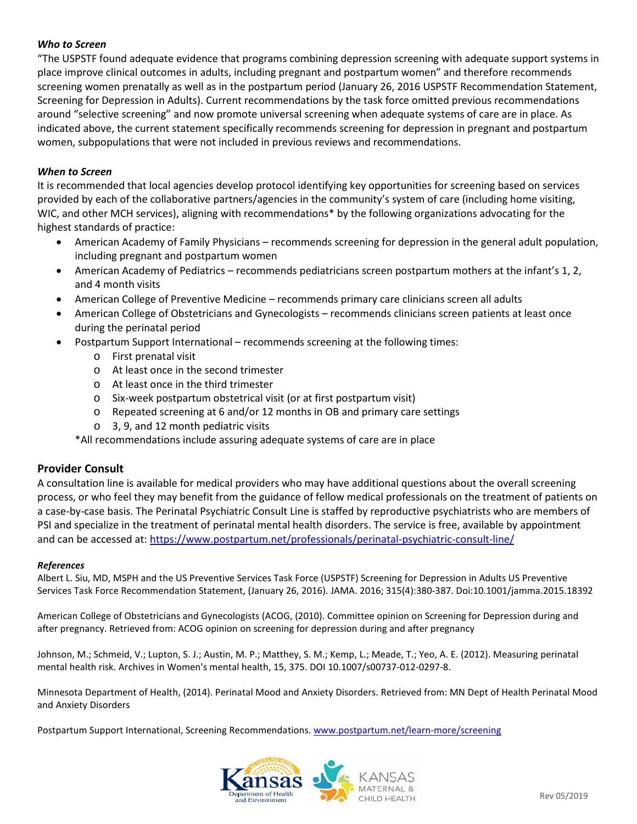### *Who to Screen*

"The USPSTF found adequate evidence that programs combining depression screening with adequate support systems in place improve clinical outcomes in adults, including pregnant and postpartum women" and therefore recommends screening women prenatally as well as in the postpartum period (January 26, 2016 USPSTF Recommendation Statement, Screening for Depression in Adults). Current recommendations by the task force omitted previous recommendations around "selective screening" and now promote universal screening when adequate systems of care are in place. As indicated above, the current statement specifically recommends screening for depression in pregnant and postpartum women, subpopulations that were not included in previous reviews and recommendations.

#### *When to Screen*

It is recommended that local agencies develop protocol identifying key opportunities for screening based on services provided by each of the collaborative partners/agencies in the community's system of care (including home visiting, WIC, and other MCH services), aligning with recommendations\* by the following organizations advocating for the highest standards of practice:

- American Academy of Family Physicians recommends screening for depression in the general adult population, including pregnant and postpartum women
- American Academy of Pediatrics recommends pediatricians screen postpartum mothers at the infant's 1, 2, and 4 month visits
- American College of Preventive Medicine recommends primary care clinicians screen all adults
- American College of Obstetricians and Gynecologists recommends clinicians screen patients at least once during the perinatal period
- Postpartum Support International recommends screening at the following times:
	- o First prenatal visit
	- o At least once in the second trimester
	- o At least once in the third trimester
	- o Six-week postpartum obstetrical visit (or at first postpartum visit)
	- o Repeated screening at 6 and/or 12 months in OB and primary care settings
	- o 3, 9, and 12 month pediatric visits

\*All recommendations include assuring adequate systems of care are in place

#### **Provider Consult**

A consultation line is available for medical providers who may have additional questions about the overall screening process, or who feel they may benefit from the guidance of fellow medical professionals on the treatment of patients on a case-by-case basis. The Perinatal Psychiatric Consult Line is staffed by reproductive psychiatrists who are members of PSI and specialize in the treatment of perinatal mental health disorders. The service is free, available by appointment and can be accessed at:<https://www.postpartum.net/professionals/perinatal-psychiatric-consult-line/>

#### *References*

Albert L. Siu, MD, MSPH and the US Preventive Services Task Force (USPSTF) Screening for Depression in Adults US Preventive Services Task Force Recommendation Statement, (January 26, 2016). JAMA. 2016; 315(4):380-387. Doi:10.1001/jamma.2015.18392

American College of Obstetricians and Gynecologists (ACOG, (2010). Committee opinion on Screening for Depression during and after pregnancy. Retrieved from: ACOG opinion on screening for depression during and after pregnancy

Johnson, M.; Schmeid, V.; Lupton, S. J.; Austin, M. P.; Matthey, S. M.; Kemp, L.; Meade, T.; Yeo, A. E. (2012). Measuring perinatal mental health risk. Archives in Women's mental health, 15, 375. DOI 10.1007/s00737-012-0297-8.

Minnesota Department of Health, (2014). Perinatal Mood and Anxiety Disorders. Retrieved from: MN Dept of Health Perinatal Mood and Anxiety Disorders

Postpartum Support International, Screening Recommendations. [www.postpartum.net/learn-more/screening](http://www.postpartum.net/learn-more/screening)